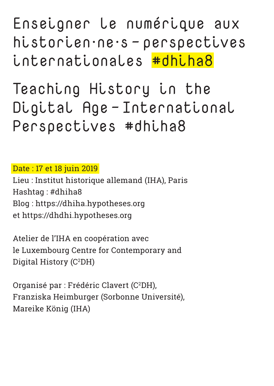Enseigner le numérique aux historien·ne·s - perspectives internationales #dhiha8

Teaching History in the Digital Age - International Perspectives #dhiha8

Date : 17 et 18 juin 2019

Lieu : Institut historique allemand (IHA), Paris Hashtag : #dhiha8 Blog : https://dhiha.hypotheses.org et https://dhdhi.hypotheses.org

Atelier de l'IHA en coopération avec le Luxembourg Centre for Contemporary and Digital History (C<sup>2</sup>DH)

Organisé par : Frédéric Clavert (C<sup>2</sup>DH), Franziska Heimburger (Sorbonne Université), Mareike König (IHA)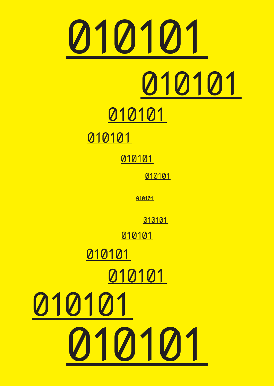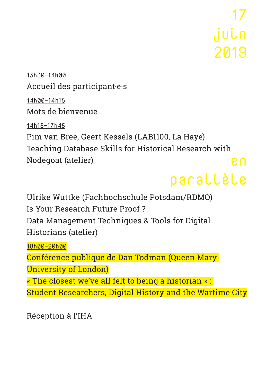17 juin 2019

13h30-14h00 Accueil des participant·e·s 14h00-14h15 Mots de bienvenue

14h15-17h45

Pim van Bree, Geert Kessels (LAB1100, La Haye) Teaching Database Skills for Historical Research with Nodegoat (atelier) en

## parallèle

Ulrike Wuttke (Fachhochschule Potsdam/RDMO) Is Your Research Future Proof ? Data Management Techniques & Tools for Digital Historians (atelier)

18h00-20h00

Conférence publique de Dan Todman (Queen Mary University of London)

« The closest we've all felt to being a historian » :

Student Researchers, Digital History and the Wartime City

Réception à l'IHA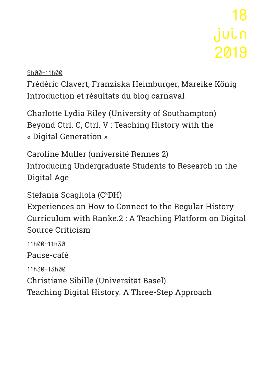18 juin 2019

9h00-11h00

Frédéric Clavert, Franziska Heimburger, Mareike König Introduction et résultats du blog carnaval

Charlotte Lydia Riley (University of Southampton) Beyond Ctrl. C, Ctrl. V : Teaching History with the « Digital Generation »

Caroline Muller (université Rennes 2) Introducing Undergraduate Students to Research in the Digital Age

Stefania Scagliola (C2DH)

Experiences on How to Connect to the Regular History Curriculum with Ranke.2 : A Teaching Platform on Digital Source Criticism

11h00-11h30 Pause-café 11h30-13h00 Christiane Sibille (Universität Basel) Teaching Digital History. A Three-Step Approach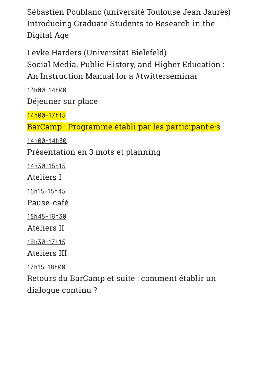Sébastien Poublanc (université Toulouse Jean Jaurès) Introducing Graduate Students to Research in the Digital Age

Levke Harders (Universität Bielefeld) Social Media, Public History, and Higher Education : An Instruction Manual for a #twitterseminar

13h00-14h00 Déjeuner sur place

14h00-17h15

BarCamp : Programme établi par les participant·e·s

14h00-14h30

Présentation en 3 mots et planning

14h30-15h15

Ateliers I

15h15-15h45

Pause-café

15h45-16h30

Ateliers II

16h30-17h15

Ateliers III

17h15-18h00

Retours du BarCamp et suite : comment établir un dialogue continu ?